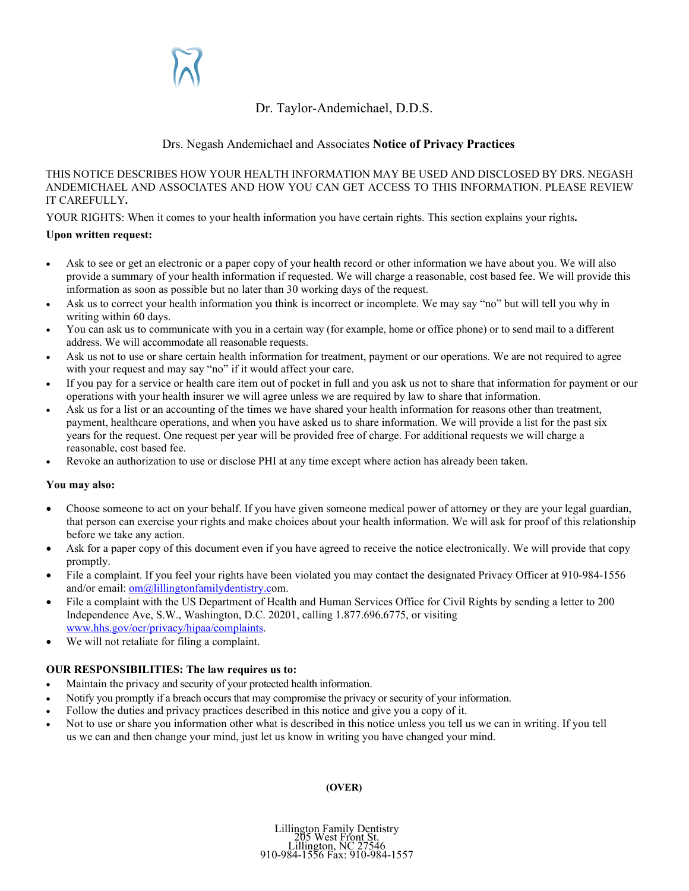# Dr. Taylor-Andemichael, D.D.S.

# Drs. Negash Andemichael and Associates **Notice of Privacy Practices**

# THIS NOTICE DESCRIBES HOW YOUR HEALTH INFORMATION MAY BE USED AND DISCLOSED BY DRS. NEGASH ANDEMICHAEL AND ASSOCIATES AND HOW YOU CAN GET ACCESS TO THIS INFORMATION. PLEASE REVIEW IT CAREFULLY**.**

YOUR RIGHTS: When it comes to your health information you have certain rights. This section explains your rights**.**

# **Upon written request:**

- Ask to see or get an electronic or a paper copy of your health record or other information we have about you. We will also provide a summary of your health information if requested. We will charge a reasonable, cost based fee. We will provide this information as soon as possible but no later than 30 working days of the request.
- Ask us to correct your health information you think is incorrect or incomplete. We may say "no" but will tell you why in writing within 60 days.
- You can ask us to communicate with you in a certain way (for example, home or office phone) or to send mail to a different address. We will accommodate all reasonable requests.
- Ask us not to use or share certain health information for treatment, payment or our operations. We are not required to agree with your request and may say "no" if it would affect your care.
- If you pay for a service or health care item out of pocket in full and you ask us not to share that information for payment or our operations with your health insurer we will agree unless we are required by law to share that information.
- Ask us for a list or an accounting of the times we have shared your health information for reasons other than treatment, payment, healthcare operations, and when you have asked us to share information. We will provide a list for the past six years for the request. One request per year will be provided free of charge. For additional requests we will charge a reasonable, cost based fee.
- Revoke an authorization to use or disclose PHI at any time except where action has already been taken.

#### **You may also:**

- Choose someone to act on your behalf. If you have given someone medical power of attorney or they are your legal guardian, that person can exercise your rights and make choices about your health information. We will ask for proof of this relationship before we take any action.
- Ask for a paper copy of this document even if you have agreed to receive the notice electronically. We will provide that copy promptly.
- File a complaint. If you feel your rights have been violated you may contact the designated Privacy Officer at 910-984-1556 and/or email[: om@lillingtonfamilydentistry.co](mailto:om@lillingtonfamilydentistry.c)m.
- File a complaint with the US Department of Health and Human Services Office for Civil Rights by sending a letter to 200 Independence Ave, S.W., Washington, D.C. 20201, calling 1.877.696.6775, or visiting [www.hhs.gov/ocr/privacy/hipaa/complaints.](http://www.hhs.gov/ocr/privacy/hipaa/complaints)
- We will not retaliate for filing a complaint.

# **OUR RESPONSIBILITIES: The law requires us to:**

- Maintain the privacy and security of your protected health information.
- Notify you promptly if a breach occurs that may compromise the privacy or security of your information.
- Follow the duties and privacy practices described in this notice and give you a copy of it.
- Not to use or share you information other what is described in this notice unless you tell us we can in writing. If you tell us we can and then change your mind, just let us know in writing you have changed your mind.

#### **(OVER)**

Lillington Family Dentistry 205 West Front St. 910-984-1556 Fax: 910-984-1557